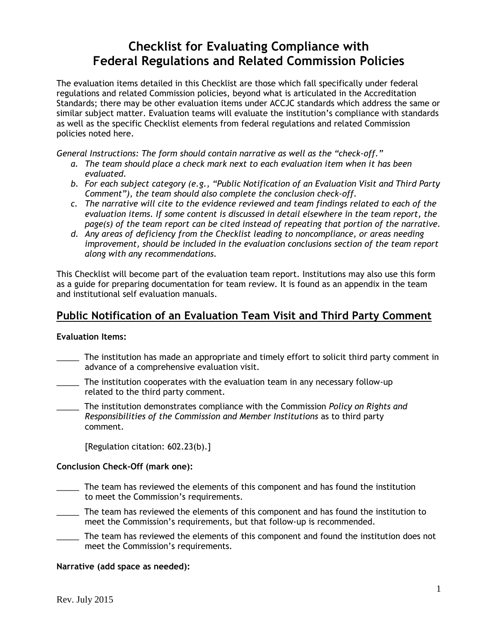# **Checklist for Evaluating Compliance with Federal Regulations and Related Commission Policies**

The evaluation items detailed in this Checklist are those which fall specifically under federal regulations and related Commission policies, beyond what is articulated in the Accreditation Standards; there may be other evaluation items under ACCJC standards which address the same or similar subject matter. Evaluation teams will evaluate the institution's compliance with standards as well as the specific Checklist elements from federal regulations and related Commission policies noted here.

*General Instructions: The form should contain narrative as well as the "check-off."* 

- *a. The team should place a check mark next to each evaluation item when it has been evaluated.*
- *b. For each subject category (e.g., "Public Notification of an Evaluation Visit and Third Party Comment"), the team should also complete the conclusion check-off.*
- *c. The narrative will cite to the evidence reviewed and team findings related to each of the evaluation items. If some content is discussed in detail elsewhere in the team report, the page(s) of the team report can be cited instead of repeating that portion of the narrative.*
- *d. Any areas of deficiency from the Checklist leading to noncompliance, or areas needing improvement, should be included in the evaluation conclusions section of the team report along with any recommendations.*

This Checklist will become part of the evaluation team report. Institutions may also use this form as a guide for preparing documentation for team review. It is found as an appendix in the team and institutional self evaluation manuals.

# **Public Notification of an Evaluation Team Visit and Third Party Comment**

### **Evaluation Items:**

- \_\_\_\_\_ The institution has made an appropriate and timely effort to solicit third party comment in advance of a comprehensive evaluation visit.
- \_\_\_\_\_ The institution cooperates with the evaluation team in any necessary follow-up related to the third party comment.

\_\_\_\_\_ The institution demonstrates compliance with the Commission *Policy on Rights and Responsibilities of the Commission and Member Institutions* as to third party comment.

[Regulation citation: 602.23(b).]

### **Conclusion Check-Off (mark one):**

- \_\_\_\_\_ The team has reviewed the elements of this component and has found the institution to meet the Commission's requirements.
- \_\_\_\_\_ The team has reviewed the elements of this component and has found the institution to meet the Commission's requirements, but that follow-up is recommended.
- \_\_\_\_\_ The team has reviewed the elements of this component and found the institution does not meet the Commission's requirements.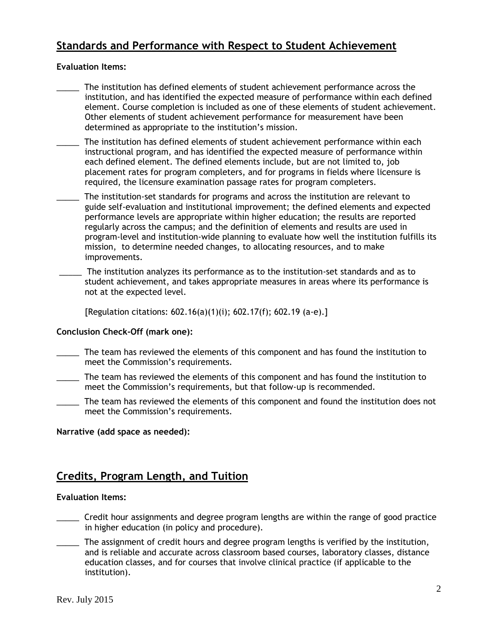# **Standards and Performance with Respect to Student Achievement**

### **Evaluation Items:**

- The institution has defined elements of student achievement performance across the institution, and has identified the expected measure of performance within each defined element. Course completion is included as one of these elements of student achievement. Other elements of student achievement performance for measurement have been determined as appropriate to the institution's mission.
- The institution has defined elements of student achievement performance within each instructional program, and has identified the expected measure of performance within each defined element. The defined elements include, but are not limited to, job placement rates for program completers, and for programs in fields where licensure is required, the licensure examination passage rates for program completers.
- The institution-set standards for programs and across the institution are relevant to guide self-evaluation and institutional improvement; the defined elements and expected performance levels are appropriate within higher education; the results are reported regularly across the campus; and the definition of elements and results are used in program-level and institution-wide planning to evaluate how well the institution fulfills its mission, to determine needed changes, to allocating resources, and to make improvements.
- \_\_\_\_\_ The institution analyzes its performance as to the institution-set standards and as to student achievement, and takes appropriate measures in areas where its performance is not at the expected level.

[Regulation citations: 602.16(a)(1)(i); 602.17(f); 602.19 (a-e).]

### **Conclusion Check-Off (mark one):**

- \_\_\_\_\_ The team has reviewed the elements of this component and has found the institution to meet the Commission's requirements.
- \_\_\_\_\_ The team has reviewed the elements of this component and has found the institution to meet the Commission's requirements, but that follow-up is recommended.
- The team has reviewed the elements of this component and found the institution does not meet the Commission's requirements.

#### **Narrative (add space as needed):**

# **Credits, Program Length, and Tuition**

#### **Evaluation Items:**

- \_\_\_\_\_ Credit hour assignments and degree program lengths are within the range of good practice in higher education (in policy and procedure).
- The assignment of credit hours and degree program lengths is verified by the institution, and is reliable and accurate across classroom based courses, laboratory classes, distance education classes, and for courses that involve clinical practice (if applicable to the institution).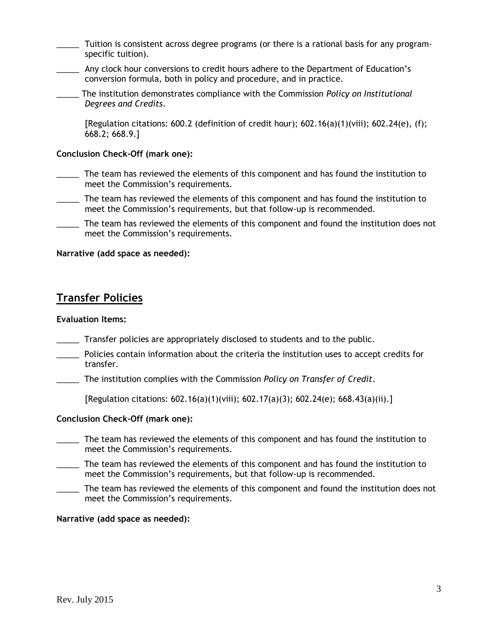- Tuition is consistent across degree programs (or there is a rational basis for any programspecific tuition).
- \_\_\_\_\_ Any clock hour conversions to credit hours adhere to the Department of Education's conversion formula, both in policy and procedure, and in practice.
- \_\_\_\_\_ The institution demonstrates compliance with the Commission *Policy on Institutional Degrees and Credits*.

[Regulation citations: 600.2 (definition of credit hour);  $602.16(a)(1)(viii)$ ;  $602.24(e)$ , (f); 668.2; 668.9.]

#### **Conclusion Check-Off (mark one):**

- \_\_\_\_\_ The team has reviewed the elements of this component and has found the institution to meet the Commission's requirements.
- \_\_\_\_\_ The team has reviewed the elements of this component and has found the institution to meet the Commission's requirements, but that follow-up is recommended.
- \_\_\_\_\_ The team has reviewed the elements of this component and found the institution does not meet the Commission's requirements.

#### **Narrative (add space as needed):**

# **Transfer Policies**

### **Evaluation Items:**

- \_\_\_\_\_ Transfer policies are appropriately disclosed to students and to the public.
- \_\_\_\_\_ Policies contain information about the criteria the institution uses to accept credits for transfer.
- \_\_\_\_\_ The institution complies with the Commission *Policy on Transfer of Credit*.

[Regulation citations: 602.16(a)(1)(viii); 602.17(a)(3); 602.24(e); 668.43(a)(ii).]

#### **Conclusion Check-Off (mark one):**

- \_\_\_\_\_ The team has reviewed the elements of this component and has found the institution to meet the Commission's requirements.
- The team has reviewed the elements of this component and has found the institution to meet the Commission's requirements, but that follow-up is recommended.
- The team has reviewed the elements of this component and found the institution does not meet the Commission's requirements.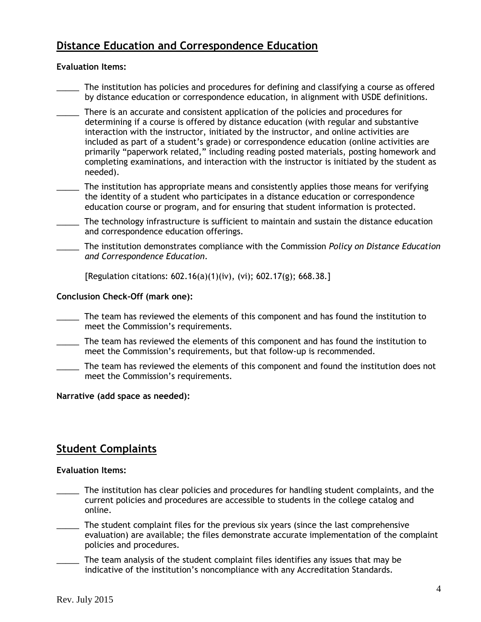# **Distance Education and Correspondence Education**

### **Evaluation Items:**

- The institution has policies and procedures for defining and classifying a course as offered by distance education or correspondence education, in alignment with USDE definitions.
- There is an accurate and consistent application of the policies and procedures for determining if a course is offered by distance education (with regular and substantive interaction with the instructor, initiated by the instructor, and online activities are included as part of a student's grade) or correspondence education (online activities are primarily "paperwork related," including reading posted materials, posting homework and completing examinations, and interaction with the instructor is initiated by the student as needed).
- The institution has appropriate means and consistently applies those means for verifying the identity of a student who participates in a distance education or correspondence education course or program, and for ensuring that student information is protected.
- \_\_\_\_\_ The technology infrastructure is sufficient to maintain and sustain the distance education and correspondence education offerings.
- \_\_\_\_\_ The institution demonstrates compliance with the Commission *Policy on Distance Education and Correspondence Education*.

[Regulation citations: 602.16(a)(1)(iv), (vi); 602.17(g); 668.38.]

### **Conclusion Check-Off (mark one):**

- \_\_\_\_\_ The team has reviewed the elements of this component and has found the institution to meet the Commission's requirements.
- \_\_\_\_\_ The team has reviewed the elements of this component and has found the institution to meet the Commission's requirements, but that follow-up is recommended.
- \_\_\_\_\_ The team has reviewed the elements of this component and found the institution does not meet the Commission's requirements.

#### **Narrative (add space as needed):**

# **Student Complaints**

#### **Evaluation Items:**

- \_\_\_\_\_ The institution has clear policies and procedures for handling student complaints, and the current policies and procedures are accessible to students in the college catalog and online.
- \_\_\_\_\_ The student complaint files for the previous six years (since the last comprehensive evaluation) are available; the files demonstrate accurate implementation of the complaint policies and procedures.
- The team analysis of the student complaint files identifies any issues that may be indicative of the institution's noncompliance with any Accreditation Standards.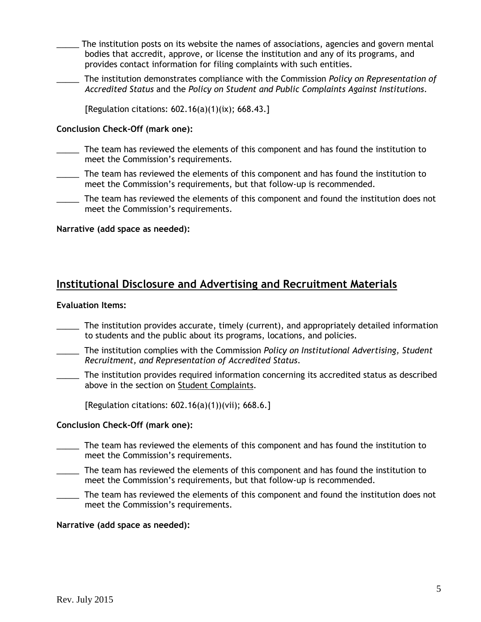- The institution posts on its website the names of associations, agencies and govern mental bodies that accredit, approve, or license the institution and any of its programs, and provides contact information for filing complaints with such entities.
- \_\_\_\_\_ The institution demonstrates compliance with the Commission *Policy on Representation of Accredited Status* and the *Policy on Student and Public Complaints Against Institutions*.

[Regulation citations: 602.16(a)(1)(ix); 668.43.]

### **Conclusion Check-Off (mark one):**

- The team has reviewed the elements of this component and has found the institution to meet the Commission's requirements.
- \_\_\_\_\_ The team has reviewed the elements of this component and has found the institution to meet the Commission's requirements, but that follow-up is recommended.
- The team has reviewed the elements of this component and found the institution does not meet the Commission's requirements.

### **Narrative (add space as needed):**

# **Institutional Disclosure and Advertising and Recruitment Materials**

#### **Evaluation Items:**

- \_\_\_\_\_ The institution provides accurate, timely (current), and appropriately detailed information to students and the public about its programs, locations, and policies.
- \_\_\_\_\_ The institution complies with the Commission *Policy on Institutional Advertising, Student Recruitment, and Representation of Accredited Status*.
- \_\_\_\_\_ The institution provides required information concerning its accredited status as described above in the section on Student Complaints.

[Regulation citations: 602.16(a)(1))(vii); 668.6.]

### **Conclusion Check-Off (mark one):**

- \_\_\_\_\_ The team has reviewed the elements of this component and has found the institution to meet the Commission's requirements.
- \_\_\_\_\_ The team has reviewed the elements of this component and has found the institution to meet the Commission's requirements, but that follow-up is recommended.
- The team has reviewed the elements of this component and found the institution does not meet the Commission's requirements.